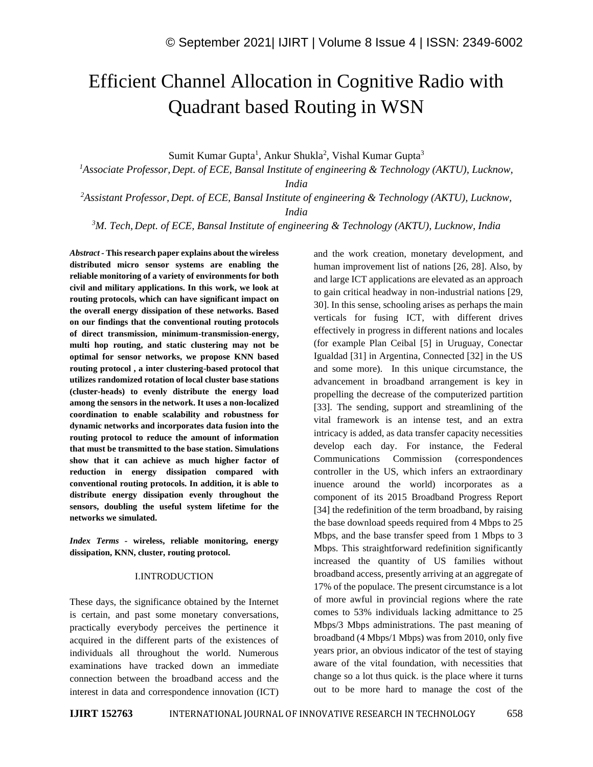# Efficient Channel Allocation in Cognitive Radio with Quadrant based Routing in WSN

Sumit Kumar Gupta<sup>1</sup>, Ankur Shukla<sup>2</sup>, Vishal Kumar Gupta<sup>3</sup>

*<sup>1</sup>Associate Professor, Dept. of ECE, Bansal Institute of engineering & Technology (AKTU), Lucknow,* 

*India*

*<sup>2</sup>Assistant Professor, Dept. of ECE, Bansal Institute of engineering & Technology (AKTU), Lucknow,* 

*India*

*<sup>3</sup>M. Tech, Dept. of ECE, Bansal Institute of engineering & Technology (AKTU), Lucknow, India*

*Abstract -* **This research paper explains about the wireless distributed micro sensor systems are enabling the reliable monitoring of a variety of environments for both civil and military applications. In this work, we look at routing protocols, which can have significant impact on the overall energy dissipation of these networks. Based on our findings that the conventional routing protocols of direct transmission, minimum-transmission-energy, multi hop routing, and static clustering may not be optimal for sensor networks, we propose KNN based routing protocol , a inter clustering-based protocol that utilizes randomized rotation of local cluster base stations (cluster-heads) to evenly distribute the energy load among the sensors in the network. It uses a non-localized coordination to enable scalability and robustness for dynamic networks and incorporates data fusion into the routing protocol to reduce the amount of information that must be transmitted to the base station. Simulations show that it can achieve as much higher factor of reduction in energy dissipation compared with conventional routing protocols. In addition, it is able to distribute energy dissipation evenly throughout the sensors, doubling the useful system lifetime for the networks we simulated.**

*Index Terms -* **wireless, reliable monitoring, energy dissipation, KNN, cluster, routing protocol.**

### I.INTRODUCTION

These days, the significance obtained by the Internet is certain, and past some monetary conversations, practically everybody perceives the pertinence it acquired in the different parts of the existences of individuals all throughout the world. Numerous examinations have tracked down an immediate connection between the broadband access and the interest in data and correspondence innovation (ICT) and the work creation, monetary development, and human improvement list of nations [26, 28]. Also, by and large ICT applications are elevated as an approach to gain critical headway in non-industrial nations [29, 30]. In this sense, schooling arises as perhaps the main verticals for fusing ICT, with different drives effectively in progress in different nations and locales (for example Plan Ceibal [5] in Uruguay, Conectar Igualdad [31] in Argentina, Connected [32] in the US and some more). In this unique circumstance, the advancement in broadband arrangement is key in propelling the decrease of the computerized partition [33]. The sending, support and streamlining of the vital framework is an intense test, and an extra intricacy is added, as data transfer capacity necessities develop each day. For instance, the Federal Communications Commission (correspondences controller in the US, which infers an extraordinary inuence around the world) incorporates as a component of its 2015 Broadband Progress Report [34] the redefinition of the term broadband, by raising the base download speeds required from 4 Mbps to 25 Mbps, and the base transfer speed from 1 Mbps to 3 Mbps. This straightforward redefinition significantly increased the quantity of US families without broadband access, presently arriving at an aggregate of 17% of the populace. The present circumstance is a lot of more awful in provincial regions where the rate comes to 53% individuals lacking admittance to 25 Mbps/3 Mbps administrations. The past meaning of broadband (4 Mbps/1 Mbps) was from 2010, only five years prior, an obvious indicator of the test of staying aware of the vital foundation, with necessities that change so a lot thus quick. is the place where it turns out to be more hard to manage the cost of the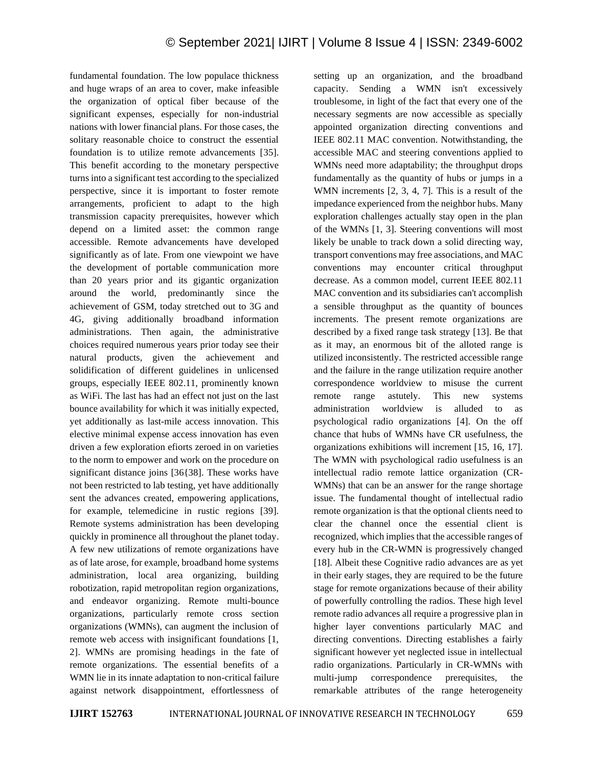fundamental foundation. The low populace thickness and huge wraps of an area to cover, make infeasible the organization of optical fiber because of the significant expenses, especially for non-industrial nations with lower financial plans. For those cases, the solitary reasonable choice to construct the essential foundation is to utilize remote advancements [35]. This benefit according to the monetary perspective turns into a significant test according to the specialized perspective, since it is important to foster remote arrangements, proficient to adapt to the high transmission capacity prerequisites, however which depend on a limited asset: the common range accessible. Remote advancements have developed significantly as of late. From one viewpoint we have the development of portable communication more than 20 years prior and its gigantic organization around the world, predominantly since the achievement of GSM, today stretched out to 3G and 4G, giving additionally broadband information administrations. Then again, the administrative choices required numerous years prior today see their natural products, given the achievement and solidification of different guidelines in unlicensed groups, especially IEEE 802.11, prominently known as WiFi. The last has had an effect not just on the last bounce availability for which it was initially expected, yet additionally as last-mile access innovation. This elective minimal expense access innovation has even driven a few exploration efiorts zeroed in on varieties to the norm to empower and work on the procedure on significant distance joins [36{38]. These works have not been restricted to lab testing, yet have additionally sent the advances created, empowering applications, for example, telemedicine in rustic regions [39]. Remote systems administration has been developing quickly in prominence all throughout the planet today. A few new utilizations of remote organizations have as of late arose, for example, broadband home systems administration, local area organizing, building robotization, rapid metropolitan region organizations, and endeavor organizing. Remote multi-bounce organizations, particularly remote cross section organizations (WMNs), can augment the inclusion of remote web access with insignificant foundations [1, 2]. WMNs are promising headings in the fate of remote organizations. The essential benefits of a WMN lie in its innate adaptation to non-critical failure against network disappointment, effortlessness of setting up an organization, and the broadband capacity. Sending a WMN isn't excessively troublesome, in light of the fact that every one of the necessary segments are now accessible as specially appointed organization directing conventions and IEEE 802.11 MAC convention. Notwithstanding, the accessible MAC and steering conventions applied to WMNs need more adaptability; the throughput drops fundamentally as the quantity of hubs or jumps in a WMN increments [2, 3, 4, 7]. This is a result of the impedance experienced from the neighbor hubs. Many exploration challenges actually stay open in the plan of the WMNs [1, 3]. Steering conventions will most likely be unable to track down a solid directing way, transport conventions may free associations, and MAC conventions may encounter critical throughput decrease. As a common model, current IEEE 802.11 MAC convention and its subsidiaries can't accomplish a sensible throughput as the quantity of bounces increments. The present remote organizations are described by a fixed range task strategy [13]. Be that as it may, an enormous bit of the alloted range is utilized inconsistently. The restricted accessible range and the failure in the range utilization require another correspondence worldview to misuse the current remote range astutely. This new systems administration worldview is alluded to as psychological radio organizations [4]. On the off chance that hubs of WMNs have CR usefulness, the organizations exhibitions will increment [15, 16, 17]. The WMN with psychological radio usefulness is an intellectual radio remote lattice organization (CR-WMNs) that can be an answer for the range shortage issue. The fundamental thought of intellectual radio remote organization is that the optional clients need to clear the channel once the essential client is recognized, which implies that the accessible ranges of every hub in the CR-WMN is progressively changed [18]. Albeit these Cognitive radio advances are as yet in their early stages, they are required to be the future stage for remote organizations because of their ability of powerfully controlling the radios. These high level remote radio advances all require a progressive plan in higher layer conventions particularly MAC and directing conventions. Directing establishes a fairly significant however yet neglected issue in intellectual radio organizations. Particularly in CR-WMNs with multi-jump correspondence prerequisites, the remarkable attributes of the range heterogeneity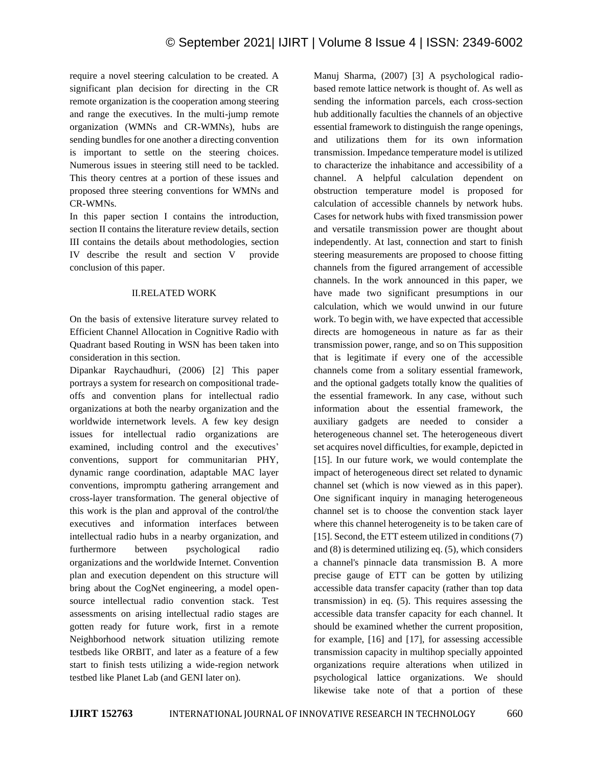require a novel steering calculation to be created. A significant plan decision for directing in the CR remote organization is the cooperation among steering and range the executives. In the multi-jump remote organization (WMNs and CR-WMNs), hubs are sending bundles for one another a directing convention is important to settle on the steering choices. Numerous issues in steering still need to be tackled. This theory centres at a portion of these issues and proposed three steering conventions for WMNs and CR-WMNs.

In this paper section I contains the introduction, section II contains the literature review details, section III contains the details about methodologies, section IV describe the result and section V provide conclusion of this paper.

## II.RELATED WORK

On the basis of extensive literature survey related to Efficient Channel Allocation in Cognitive Radio with Quadrant based Routing in WSN has been taken into consideration in this section.

Dipankar Raychaudhuri, (2006) [2] This paper portrays a system for research on compositional tradeoffs and convention plans for intellectual radio organizations at both the nearby organization and the worldwide internetwork levels. A few key design issues for intellectual radio organizations are examined, including control and the executives' conventions, support for communitarian PHY, dynamic range coordination, adaptable MAC layer conventions, impromptu gathering arrangement and cross-layer transformation. The general objective of this work is the plan and approval of the control/the executives and information interfaces between intellectual radio hubs in a nearby organization, and furthermore between psychological radio organizations and the worldwide Internet. Convention plan and execution dependent on this structure will bring about the CogNet engineering, a model opensource intellectual radio convention stack. Test assessments on arising intellectual radio stages are gotten ready for future work, first in a remote Neighborhood network situation utilizing remote testbeds like ORBIT, and later as a feature of a few start to finish tests utilizing a wide-region network testbed like Planet Lab (and GENI later on).

Manuj Sharma, (2007) [3] A psychological radiobased remote lattice network is thought of. As well as sending the information parcels, each cross-section hub additionally faculties the channels of an objective essential framework to distinguish the range openings, and utilizations them for its own information transmission. Impedance temperature model is utilized to characterize the inhabitance and accessibility of a channel. A helpful calculation dependent on obstruction temperature model is proposed for calculation of accessible channels by network hubs. Cases for network hubs with fixed transmission power and versatile transmission power are thought about independently. At last, connection and start to finish steering measurements are proposed to choose fitting channels from the figured arrangement of accessible channels. In the work announced in this paper, we have made two significant presumptions in our calculation, which we would unwind in our future work. To begin with, we have expected that accessible directs are homogeneous in nature as far as their transmission power, range, and so on This supposition that is legitimate if every one of the accessible channels come from a solitary essential framework, and the optional gadgets totally know the qualities of the essential framework. In any case, without such information about the essential framework, the auxiliary gadgets are needed to consider a heterogeneous channel set. The heterogeneous divert set acquires novel difficulties, for example, depicted in [15]. In our future work, we would contemplate the impact of heterogeneous direct set related to dynamic channel set (which is now viewed as in this paper). One significant inquiry in managing heterogeneous channel set is to choose the convention stack layer where this channel heterogeneity is to be taken care of [15]. Second, the ETT esteem utilized in conditions (7) and (8) is determined utilizing eq. (5), which considers a channel's pinnacle data transmission B. A more precise gauge of ETT can be gotten by utilizing accessible data transfer capacity (rather than top data transmission) in eq. (5). This requires assessing the accessible data transfer capacity for each channel. It should be examined whether the current proposition, for example, [16] and [17], for assessing accessible transmission capacity in multihop specially appointed organizations require alterations when utilized in psychological lattice organizations. We should likewise take note of that a portion of these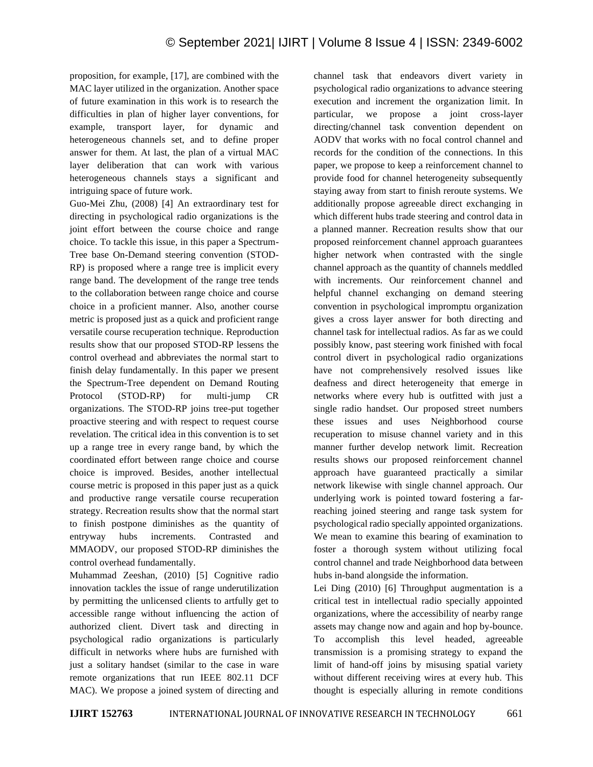proposition, for example, [17], are combined with the MAC layer utilized in the organization. Another space of future examination in this work is to research the difficulties in plan of higher layer conventions, for example, transport layer, for dynamic and heterogeneous channels set, and to define proper answer for them. At last, the plan of a virtual MAC layer deliberation that can work with various heterogeneous channels stays a significant and intriguing space of future work.

Guo-Mei Zhu, (2008) [4] An extraordinary test for directing in psychological radio organizations is the joint effort between the course choice and range choice. To tackle this issue, in this paper a Spectrum-Tree base On-Demand steering convention (STOD-RP) is proposed where a range tree is implicit every range band. The development of the range tree tends to the collaboration between range choice and course choice in a proficient manner. Also, another course metric is proposed just as a quick and proficient range versatile course recuperation technique. Reproduction results show that our proposed STOD-RP lessens the control overhead and abbreviates the normal start to finish delay fundamentally. In this paper we present the Spectrum-Tree dependent on Demand Routing Protocol (STOD-RP) for multi-jump CR organizations. The STOD-RP joins tree-put together proactive steering and with respect to request course revelation. The critical idea in this convention is to set up a range tree in every range band, by which the coordinated effort between range choice and course choice is improved. Besides, another intellectual course metric is proposed in this paper just as a quick and productive range versatile course recuperation strategy. Recreation results show that the normal start to finish postpone diminishes as the quantity of entryway hubs increments. Contrasted and MMAODV, our proposed STOD-RP diminishes the control overhead fundamentally.

Muhammad Zeeshan, (2010) [5] Cognitive radio innovation tackles the issue of range underutilization by permitting the unlicensed clients to artfully get to accessible range without influencing the action of authorized client. Divert task and directing in psychological radio organizations is particularly difficult in networks where hubs are furnished with just a solitary handset (similar to the case in ware remote organizations that run IEEE 802.11 DCF MAC). We propose a joined system of directing and

channel task that endeavors divert variety in psychological radio organizations to advance steering execution and increment the organization limit. In particular, we propose a joint cross-layer directing/channel task convention dependent on AODV that works with no focal control channel and records for the condition of the connections. In this paper, we propose to keep a reinforcement channel to provide food for channel heterogeneity subsequently staying away from start to finish reroute systems. We additionally propose agreeable direct exchanging in which different hubs trade steering and control data in a planned manner. Recreation results show that our proposed reinforcement channel approach guarantees higher network when contrasted with the single channel approach as the quantity of channels meddled with increments. Our reinforcement channel and helpful channel exchanging on demand steering convention in psychological impromptu organization gives a cross layer answer for both directing and channel task for intellectual radios. As far as we could possibly know, past steering work finished with focal control divert in psychological radio organizations have not comprehensively resolved issues like deafness and direct heterogeneity that emerge in networks where every hub is outfitted with just a single radio handset. Our proposed street numbers these issues and uses Neighborhood course recuperation to misuse channel variety and in this manner further develop network limit. Recreation results shows our proposed reinforcement channel approach have guaranteed practically a similar network likewise with single channel approach. Our underlying work is pointed toward fostering a farreaching joined steering and range task system for psychological radio specially appointed organizations. We mean to examine this bearing of examination to foster a thorough system without utilizing focal control channel and trade Neighborhood data between hubs in-band alongside the information.

Lei Ding (2010) [6] Throughput augmentation is a critical test in intellectual radio specially appointed organizations, where the accessibility of nearby range assets may change now and again and hop by-bounce. To accomplish this level headed, agreeable transmission is a promising strategy to expand the limit of hand-off joins by misusing spatial variety without different receiving wires at every hub. This thought is especially alluring in remote conditions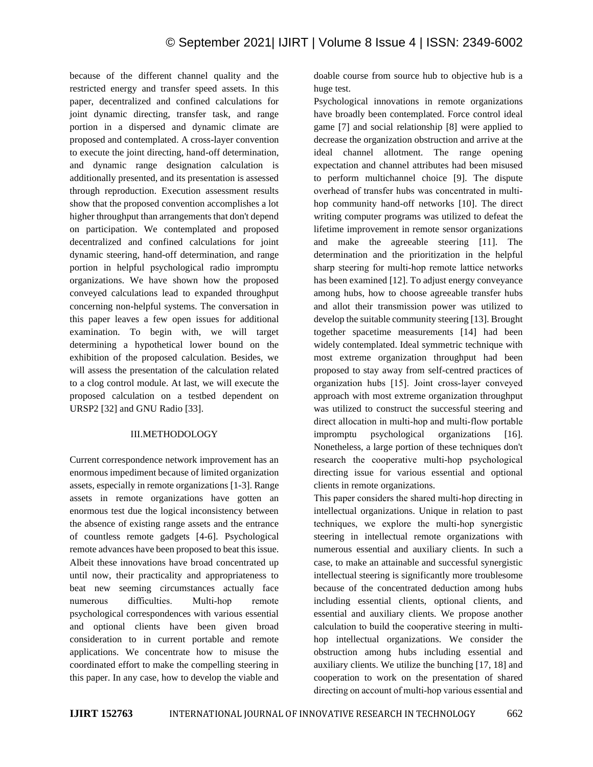because of the different channel quality and the restricted energy and transfer speed assets. In this paper, decentralized and confined calculations for joint dynamic directing, transfer task, and range portion in a dispersed and dynamic climate are proposed and contemplated. A cross-layer convention to execute the joint directing, hand-off determination, and dynamic range designation calculation is additionally presented, and its presentation is assessed through reproduction. Execution assessment results show that the proposed convention accomplishes a lot higher throughput than arrangements that don't depend on participation. We contemplated and proposed decentralized and confined calculations for joint dynamic steering, hand-off determination, and range portion in helpful psychological radio impromptu organizations. We have shown how the proposed conveyed calculations lead to expanded throughput concerning non-helpful systems. The conversation in this paper leaves a few open issues for additional examination. To begin with, we will target determining a hypothetical lower bound on the exhibition of the proposed calculation. Besides, we will assess the presentation of the calculation related to a clog control module. At last, we will execute the proposed calculation on a testbed dependent on URSP2 [32] and GNU Radio [33].

## III.METHODOLOGY

Current correspondence network improvement has an enormous impediment because of limited organization assets, especially in remote organizations [1-3]. Range assets in remote organizations have gotten an enormous test due the logical inconsistency between the absence of existing range assets and the entrance of countless remote gadgets [4-6]. Psychological remote advances have been proposed to beat this issue. Albeit these innovations have broad concentrated up until now, their practicality and appropriateness to beat new seeming circumstances actually face numerous difficulties. Multi‐hop remote psychological correspondences with various essential and optional clients have been given broad consideration to in current portable and remote applications. We concentrate how to misuse the coordinated effort to make the compelling steering in this paper. In any case, how to develop the viable and doable course from source hub to objective hub is a huge test.

Psychological innovations in remote organizations have broadly been contemplated. Force control ideal game [7] and social relationship [8] were applied to decrease the organization obstruction and arrive at the ideal channel allotment. The range opening expectation and channel attributes had been misused to perform multichannel choice [9]. The dispute overhead of transfer hubs was concentrated in multi‐ hop community hand-off networks [10]. The direct writing computer programs was utilized to defeat the lifetime improvement in remote sensor organizations and make the agreeable steering [11]. The determination and the prioritization in the helpful sharp steering for multi-hop remote lattice networks has been examined [12]. To adjust energy conveyance among hubs, how to choose agreeable transfer hubs and allot their transmission power was utilized to develop the suitable community steering [13]. Brought together spacetime measurements [14] had been widely contemplated. Ideal symmetric technique with most extreme organization throughput had been proposed to stay away from self-centred practices of organization hubs [15]. Joint cross‐layer conveyed approach with most extreme organization throughput was utilized to construct the successful steering and direct allocation in multi‐hop and multi‐flow portable impromptu psychological organizations [16]. Nonetheless, a large portion of these techniques don't research the cooperative multi‐hop psychological directing issue for various essential and optional clients in remote organizations.

This paper considers the shared multi-hop directing in intellectual organizations. Unique in relation to past techniques, we explore the multi‐hop synergistic steering in intellectual remote organizations with numerous essential and auxiliary clients. In such a case, to make an attainable and successful synergistic intellectual steering is significantly more troublesome because of the concentrated deduction among hubs including essential clients, optional clients, and essential and auxiliary clients. We propose another calculation to build the cooperative steering in multi‐ hop intellectual organizations. We consider the obstruction among hubs including essential and auxiliary clients. We utilize the bunching [17, 18] and cooperation to work on the presentation of shared directing on account of multi‐hop various essential and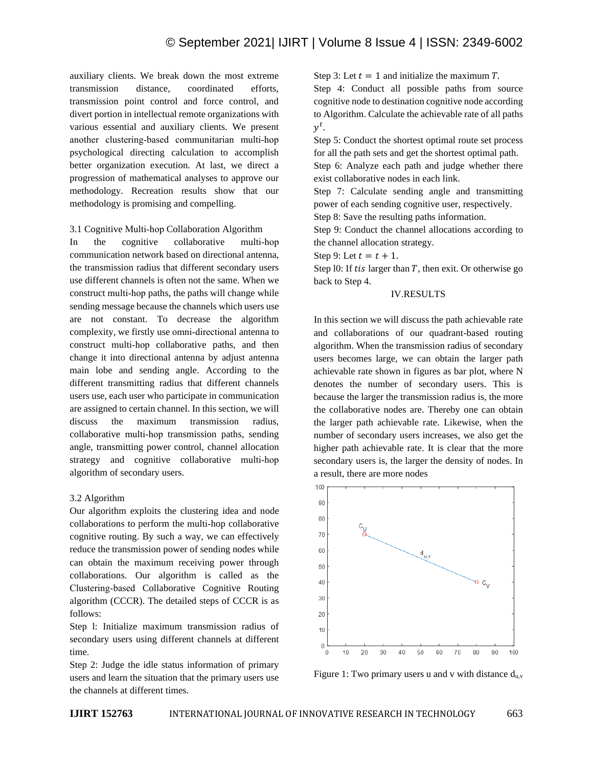auxiliary clients. We break down the most extreme transmission distance, coordinated efforts, transmission point control and force control, and divert portion in intellectual remote organizations with various essential and auxiliary clients. We present another clustering‐based communitarian multi‐hop psychological directing calculation to accomplish better organization execution. At last, we direct a progression of mathematical analyses to approve our methodology. Recreation results show that our methodology is promising and compelling.

#### 3.1 Cognitive Multi‐hop Collaboration Algorithm

In the cognitive collaborative multi-hop communication network based on directional antenna, the transmission radius that different secondary users use different channels is often not the same. When we construct multi‐hop paths, the paths will change while sending message because the channels which users use are not constant. To decrease the algorithm complexity, we firstly use omni‐directional antenna to construct multi‐hop collaborative paths, and then change it into directional antenna by adjust antenna main lobe and sending angle. According to the different transmitting radius that different channels users use, each user who participate in communication are assigned to certain channel. In this section, we will discuss the maximum transmission radius, collaborative multi‐hop transmission paths, sending angle, transmitting power control, channel allocation strategy and cognitive collaborative multi-hop algorithm of secondary users.

#### 3.2 Algorithm

Our algorithm exploits the clustering idea and node collaborations to perform the multi‐hop collaborative cognitive routing. By such a way, we can effectively reduce the transmission power of sending nodes while can obtain the maximum receiving power through collaborations. Our algorithm is called as the Clustering‐based Collaborative Cognitive Routing algorithm (CCCR). The detailed steps of CCCR is as follows:

Step l: Initialize maximum transmission radius of secondary users using different channels at different time.

Step 2: Judge the idle status information of primary users and learn the situation that the primary users use the channels at different times.

Step 3: Let  $t = 1$  and initialize the maximum T.

Step 4: Conduct all possible paths from source cognitive node to destination cognitive node according to Algorithm. Calculate the achievable rate of all paths  $y^t$ .

Step 5: Conduct the shortest optimal route set process for all the path sets and get the shortest optimal path.

Step 6: Analyze each path and judge whether there exist collaborative nodes in each link.

Step 7: Calculate sending angle and transmitting power of each sending cognitive user, respectively.

Step 8: Save the resulting paths information.

Step 9: Conduct the channel allocations according to the channel allocation strategy.

Step 9: Let  $t = t + 1$ .

Step 10: If *tis* larger than  $T$ , then exit. Or otherwise go back to Step 4.

## IV.RESULTS

In this section we will discuss the path achievable rate and collaborations of our quadrant-based routing algorithm. When the transmission radius of secondary users becomes large, we can obtain the larger path achievable rate shown in figures as bar plot, where N denotes the number of secondary users. This is because the larger the transmission radius is, the more the collaborative nodes are. Thereby one can obtain the larger path achievable rate. Likewise, when the number of secondary users increases, we also get the higher path achievable rate. It is clear that the more secondary users is, the larger the density of nodes. In a result, there are more nodes



Figure 1: Two primary users u and v with distance  $d_{u,v}$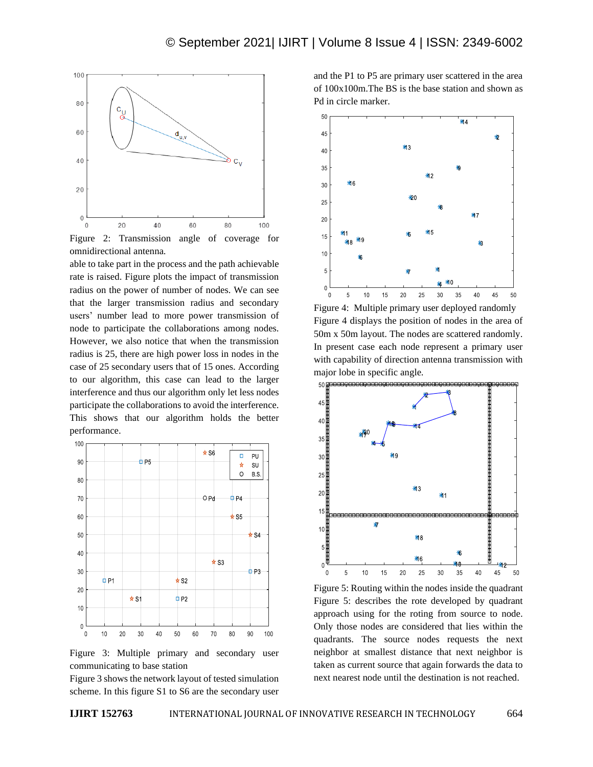

Figure 2: Transmission angle of coverage for omnidirectional antenna.

able to take part in the process and the path achievable rate is raised. Figure plots the impact of transmission radius on the power of number of nodes. We can see that the larger transmission radius and secondary users' number lead to more power transmission of node to participate the collaborations among nodes. However, we also notice that when the transmission radius is 25, there are high power loss in nodes in the case of 25 secondary users that of 15 ones. According to our algorithm, this case can lead to the larger interference and thus our algorithm only let less nodes participate the collaborations to avoid the interference. This shows that our algorithm holds the better performance.



Figure 3: Multiple primary and secondary user communicating to base station

Figure 3 shows the network layout of tested simulation scheme. In this figure S1 to S6 are the secondary user and the P1 to P5 are primary user scattered in the area of 100x100m.The BS is the base station and shown as Pd in circle marker.



Figure 4: Multiple primary user deployed randomly Figure 4 displays the position of nodes in the area of 50m x 50m layout. The nodes are scattered randomly. In present case each node represent a primary user with capability of direction antenna transmission with major lobe in specific angle.



Figure 5: Routing within the nodes inside the quadrant Figure 5: describes the rote developed by quadrant approach using for the roting from source to node. Only those nodes are considered that lies within the quadrants. The source nodes requests the next neighbor at smallest distance that next neighbor is taken as current source that again forwards the data to next nearest node until the destination is not reached.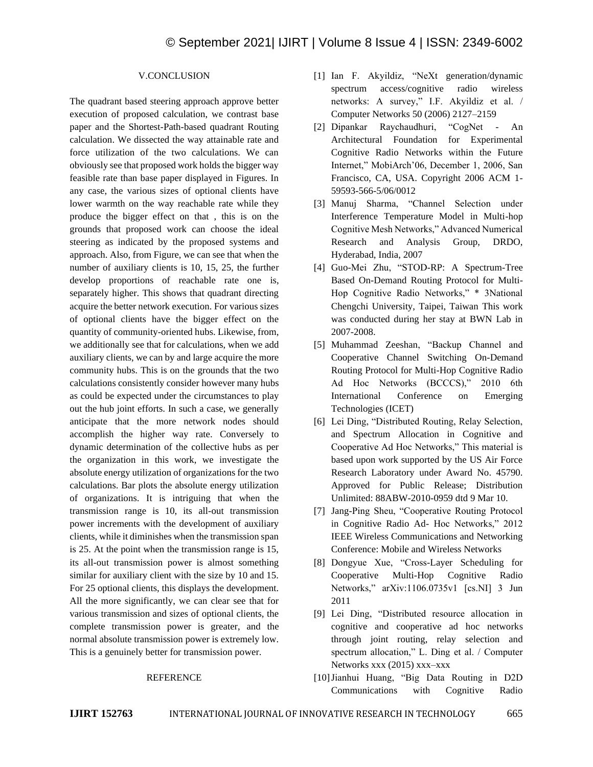## V.CONCLUSION

The quadrant based steering approach approve better execution of proposed calculation, we contrast base paper and the Shortest-Path-based quadrant Routing calculation. We dissected the way attainable rate and force utilization of the two calculations. We can obviously see that proposed work holds the bigger way feasible rate than base paper displayed in Figures. In any case, the various sizes of optional clients have lower warmth on the way reachable rate while they produce the bigger effect on that , this is on the grounds that proposed work can choose the ideal steering as indicated by the proposed systems and approach. Also, from Figure, we can see that when the number of auxiliary clients is 10, 15, 25, the further develop proportions of reachable rate one is, separately higher. This shows that quadrant directing acquire the better network execution. For various sizes of optional clients have the bigger effect on the quantity of community-oriented hubs. Likewise, from, we additionally see that for calculations, when we add auxiliary clients, we can by and large acquire the more community hubs. This is on the grounds that the two calculations consistently consider however many hubs as could be expected under the circumstances to play out the hub joint efforts. In such a case, we generally anticipate that the more network nodes should accomplish the higher way rate. Conversely to dynamic determination of the collective hubs as per the organization in this work, we investigate the absolute energy utilization of organizations for the two calculations. Bar plots the absolute energy utilization of organizations. It is intriguing that when the transmission range is 10, its all-out transmission power increments with the development of auxiliary clients, while it diminishes when the transmission span is 25. At the point when the transmission range is 15, its all-out transmission power is almost something similar for auxiliary client with the size by 10 and 15. For 25 optional clients, this displays the development. All the more significantly, we can clear see that for various transmission and sizes of optional clients, the complete transmission power is greater, and the normal absolute transmission power is extremely low. This is a genuinely better for transmission power.

#### REFERENCE

- [1] Ian F. Akyildiz, "NeXt generation/dynamic spectrum access/cognitive radio wireless networks: A survey," I.F. Akyildiz et al. / Computer Networks 50 (2006) 2127–2159
- [2] Dipankar Raychaudhuri, "CogNet An Architectural Foundation for Experimental Cognitive Radio Networks within the Future Internet," MobiArch'06, December 1, 2006, San Francisco, CA, USA. Copyright 2006 ACM 1- 59593-566-5/06/0012
- [3] Manuj Sharma, "Channel Selection under Interference Temperature Model in Multi-hop Cognitive Mesh Networks," Advanced Numerical Research and Analysis Group, DRDO, Hyderabad, India, 2007
- [4] Guo-Mei Zhu, "STOD-RP: A Spectrum-Tree Based On-Demand Routing Protocol for Multi-Hop Cognitive Radio Networks," \* 3National Chengchi University, Taipei, Taiwan This work was conducted during her stay at BWN Lab in 2007-2008.
- [5] Muhammad Zeeshan, "Backup Channel and Cooperative Channel Switching On-Demand Routing Protocol for Multi-Hop Cognitive Radio Ad Hoc Networks (BCCCS)," 2010 6th International Conference on Emerging Technologies (ICET)
- [6] Lei Ding, "Distributed Routing, Relay Selection, and Spectrum Allocation in Cognitive and Cooperative Ad Hoc Networks," This material is based upon work supported by the US Air Force Research Laboratory under Award No. 45790. Approved for Public Release; Distribution Unlimited: 88ABW-2010-0959 dtd 9 Mar 10.
- [7] Jang-Ping Sheu, "Cooperative Routing Protocol in Cognitive Radio Ad- Hoc Networks," 2012 IEEE Wireless Communications and Networking Conference: Mobile and Wireless Networks
- [8] Dongyue Xue, "Cross-Layer Scheduling for Cooperative Multi-Hop Cognitive Radio Networks," arXiv:1106.0735v1 [cs.NI] 3 Jun 2011
- [9] Lei Ding, "Distributed resource allocation in cognitive and cooperative ad hoc networks through joint routing, relay selection and spectrum allocation," L. Ding et al. / Computer Networks xxx (2015) xxx–xxx
- [10]Jianhui Huang, "Big Data Routing in D2D Communications with Cognitive Radio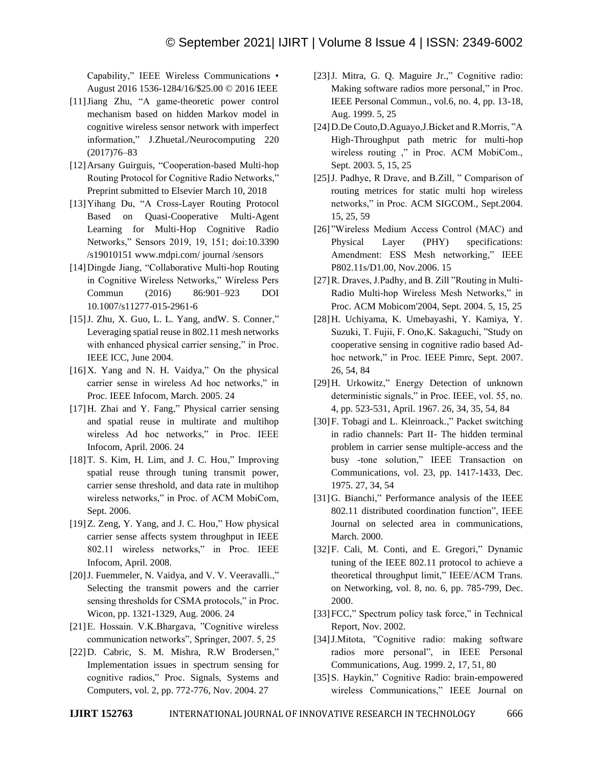Capability," IEEE Wireless Communications • August 2016 1536-1284/16/\$25.00 © 2016 IEEE

- [11]Jiang Zhu, "A game-theoretic power control mechanism based on hidden Markov model in cognitive wireless sensor network with imperfect information," J.Zhuetal./Neurocomputing 220 (2017)76–83
- [12]Arsany Guirguis, "Cooperation-based Multi-hop Routing Protocol for Cognitive Radio Networks," Preprint submitted to Elsevier March 10, 2018
- [13]Yihang Du, "A Cross-Layer Routing Protocol Based on Quasi-Cooperative Multi-Agent Learning for Multi-Hop Cognitive Radio Networks," Sensors 2019, 19, 151; doi:10.3390 /s19010151 www.mdpi.com/ journal /sensors
- [14]Dingde Jiang, "Collaborative Multi-hop Routing in Cognitive Wireless Networks," Wireless Pers Commun (2016) 86:901–923 DOI 10.1007/s11277-015-2961-6
- [15]J. Zhu, X. Guo, L. L. Yang, andW. S. Conner," Leveraging spatial reuse in 802.11 mesh networks with enhanced physical carrier sensing," in Proc. IEEE ICC, June 2004.
- [16]X. Yang and N. H. Vaidya," On the physical carrier sense in wireless Ad hoc networks," in Proc. IEEE Infocom, March. 2005. 24
- [17]H. Zhai and Y. Fang," Physical carrier sensing and spatial reuse in multirate and multihop wireless Ad hoc networks," in Proc. IEEE Infocom, April. 2006. 24
- [18] T. S. Kim, H. Lim, and J. C. Hou," Improving spatial reuse through tuning transmit power, carrier sense threshold, and data rate in multihop wireless networks," in Proc. of ACM MobiCom, Sept. 2006.
- [19] Z. Zeng, Y. Yang, and J. C. Hou," How physical carrier sense affects system throughput in IEEE 802.11 wireless networks," in Proc. IEEE Infocom, April. 2008.
- [20] J. Fuemmeler, N. Vaidya, and V. V. Veeravalli.," Selecting the transmit powers and the carrier sensing thresholds for CSMA protocols," in Proc. Wicon, pp. 1321-1329, Aug. 2006. 24
- [21]E. Hossain. V.K.Bhargava, "Cognitive wireless communication networks", Springer, 2007. 5, 25
- [22]D. Cabric, S. M. Mishra, R.W Brodersen," Implementation issues in spectrum sensing for cognitive radios," Proc. Signals, Systems and Computers, vol. 2, pp. 772-776, Nov. 2004. 27
- [23]J. Mitra, G. Q. Maguire Jr.," Cognitive radio: Making software radios more personal," in Proc. IEEE Personal Commun., vol.6, no. 4, pp. 13-18, Aug. 1999. 5, 25
- [24]D.De Couto,D.Aguayo,J.Bicket and R.Morris, "A High-Throughput path metric for multi-hop wireless routing ," in Proc. ACM MobiCom., Sept. 2003. 5, 15, 25
- [25]J. Padhye, R Drave, and B.Zill, " Comparison of routing metrices for static multi hop wireless networks," in Proc. ACM SIGCOM., Sept.2004. 15, 25, 59
- [26] "Wireless Medium Access Control (MAC) and Physical Layer (PHY) specifications: Amendment: ESS Mesh networking," IEEE P802.11s/D1.00, Nov.2006. 15
- [27]R. Draves, J.Padhy, and B. Zill "Routing in Multi-Radio Multi-hop Wireless Mesh Networks," in Proc. ACM Mobicom'2004, Sept. 2004. 5, 15, 25
- [28]H. Uchiyama, K. Umebayashi, Y. Kamiya, Y. Suzuki, T. Fujii, F. Ono,K. Sakaguchi, "Study on cooperative sensing in cognitive radio based Adhoc network," in Proc. IEEE Pimrc, Sept. 2007. 26, 54, 84
- [29]H. Urkowitz," Energy Detection of unknown deterministic signals," in Proc. IEEE, vol. 55, no. 4, pp. 523-531, April. 1967. 26, 34, 35, 54, 84
- [30]F. Tobagi and L. Kleinroack.," Packet switching in radio channels: Part II- The hidden terminal problem in carrier sense multiple-access and the busy -tone solution," IEEE Transaction on Communications, vol. 23, pp. 1417-1433, Dec. 1975. 27, 34, 54
- [31]G. Bianchi," Performance analysis of the IEEE 802.11 distributed coordination function", IEEE Journal on selected area in communications, March. 2000.
- [32]F. Cali, M. Conti, and E. Gregori," Dynamic tuning of the IEEE 802.11 protocol to achieve a theoretical throughput limit," IEEE/ACM Trans. on Networking, vol. 8, no. 6, pp. 785-799, Dec. 2000.
- [33] FCC," Spectrum policy task force," in Technical Report, Nov. 2002.
- [34]J.Mitota, "Cognitive radio: making software radios more personal", in IEEE Personal Communications, Aug. 1999. 2, 17, 51, 80
- [35]S. Haykin," Cognitive Radio: brain-empowered wireless Communications," IEEE Journal on